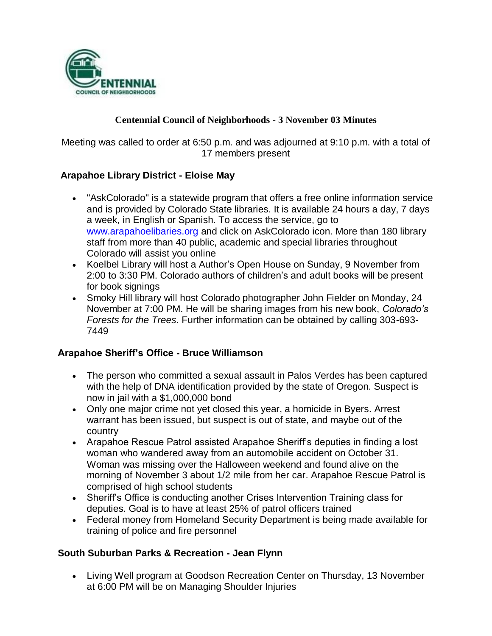

## **Centennial Council of Neighborhoods - 3 November 03 Minutes**

Meeting was called to order at 6:50 p.m. and was adjourned at 9:10 p.m. with a total of 17 members present

## **Arapahoe Library District - Eloise May**

- "AskColorado" is a statewide program that offers a free online information service and is provided by Colorado State libraries. It is available 24 hours a day, 7 days a week, in English or Spanish. To access the service, go to [www.arapahoelibaries.org](http://www.arapahoelibaries.org/) and click on AskColorado icon. More than 180 library staff from more than 40 public, academic and special libraries throughout Colorado will assist you online
- Koelbel Library will host a Author's Open House on Sunday, 9 November from 2:00 to 3:30 PM. Colorado authors of children's and adult books will be present for book signings
- Smoky Hill library will host Colorado photographer John Fielder on Monday, 24 November at 7:00 PM. He will be sharing images from his new book, *Colorado's Forests for the Trees.* Further information can be obtained by calling 303-693- 7449

#### **Arapahoe Sheriff's Office - Bruce Williamson**

- The person who committed a sexual assault in Palos Verdes has been captured with the help of DNA identification provided by the state of Oregon. Suspect is now in jail with a \$1,000,000 bond
- Only one major crime not yet closed this year, a homicide in Byers. Arrest warrant has been issued, but suspect is out of state, and maybe out of the country
- Arapahoe Rescue Patrol assisted Arapahoe Sheriff's deputies in finding a lost woman who wandered away from an automobile accident on October 31. Woman was missing over the Halloween weekend and found alive on the morning of November 3 about 1/2 mile from her car. Arapahoe Rescue Patrol is comprised of high school students
- Sheriff's Office is conducting another Crises Intervention Training class for deputies. Goal is to have at least 25% of patrol officers trained
- Federal money from Homeland Security Department is being made available for training of police and fire personnel

## **South Suburban Parks & Recreation - Jean Flynn**

 Living Well program at Goodson Recreation Center on Thursday, 13 November at 6:00 PM will be on Managing Shoulder Injuries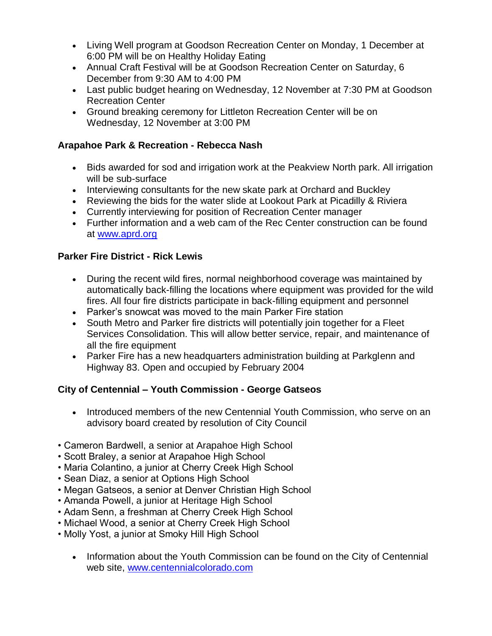- Living Well program at Goodson Recreation Center on Monday, 1 December at 6:00 PM will be on Healthy Holiday Eating
- Annual Craft Festival will be at Goodson Recreation Center on Saturday, 6 December from 9:30 AM to 4:00 PM
- Last public budget hearing on Wednesday, 12 November at 7:30 PM at Goodson Recreation Center
- Ground breaking ceremony for Littleton Recreation Center will be on Wednesday, 12 November at 3:00 PM

## **Arapahoe Park & Recreation - Rebecca Nash**

- Bids awarded for sod and irrigation work at the Peakview North park. All irrigation will be sub-surface
- Interviewing consultants for the new skate park at Orchard and Buckley
- Reviewing the bids for the water slide at Lookout Park at Picadilly & Riviera
- Currently interviewing for position of Recreation Center manager
- Further information and a web cam of the Rec Center construction can be found at [www.aprd.org](http://www.aprd.org/)

## **Parker Fire District - Rick Lewis**

- During the recent wild fires, normal neighborhood coverage was maintained by automatically back-filling the locations where equipment was provided for the wild fires. All four fire districts participate in back-filling equipment and personnel
- Parker's snowcat was moved to the main Parker Fire station
- South Metro and Parker fire districts will potentially join together for a Fleet Services Consolidation. This will allow better service, repair, and maintenance of all the fire equipment
- Parker Fire has a new headquarters administration building at Parkglenn and Highway 83. Open and occupied by February 2004

# **City of Centennial – Youth Commission - George Gatseos**

- Introduced members of the new Centennial Youth Commission, who serve on an advisory board created by resolution of City Council
- Cameron Bardwell, a senior at Arapahoe High School
- Scott Braley, a senior at Arapahoe High School
- Maria Colantino, a junior at Cherry Creek High School
- Sean Diaz, a senior at Options High School
- Megan Gatseos, a senior at Denver Christian High School
- Amanda Powell, a junior at Heritage High School
- Adam Senn, a freshman at Cherry Creek High School
- Michael Wood, a senior at Cherry Creek High School
- Molly Yost, a junior at Smoky Hill High School
	- Information about the Youth Commission can be found on the City of Centennial web site, [www.centennialcolorado.com](http://www.centennialcolorado.com/)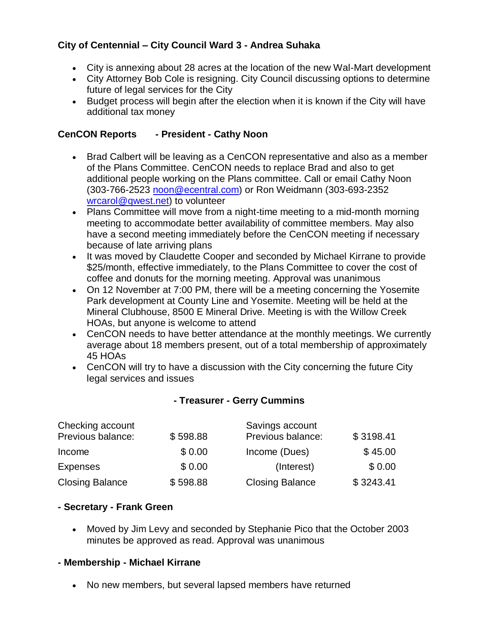# **City of Centennial – City Council Ward 3 - Andrea Suhaka**

- City is annexing about 28 acres at the location of the new Wal-Mart development
- City Attorney Bob Cole is resigning. City Council discussing options to determine future of legal services for the City
- Budget process will begin after the election when it is known if the City will have additional tax money

## **CenCON Reports - President - Cathy Noon**

- Brad Calbert will be leaving as a CenCON representative and also as a member of the Plans Committee. CenCON needs to replace Brad and also to get additional people working on the Plans committee. Call or email Cathy Noon (303-766-2523 [noon@ecentral.com\)](mailto:noon@ecentral.com) or Ron Weidmann (303-693-2352 [wrcarol@qwest.net\)](mailto:wrcarol@qwest.net) to volunteer
- Plans Committee will move from a night-time meeting to a mid-month morning meeting to accommodate better availability of committee members. May also have a second meeting immediately before the CenCON meeting if necessary because of late arriving plans
- It was moved by Claudette Cooper and seconded by Michael Kirrane to provide \$25/month, effective immediately, to the Plans Committee to cover the cost of coffee and donuts for the morning meeting. Approval was unanimous
- On 12 November at 7:00 PM, there will be a meeting concerning the Yosemite Park development at County Line and Yosemite. Meeting will be held at the Mineral Clubhouse, 8500 E Mineral Drive. Meeting is with the Willow Creek HOAs, but anyone is welcome to attend
- CenCON needs to have better attendance at the monthly meetings. We currently average about 18 members present, out of a total membership of approximately 45 HOAs
- CenCON will try to have a discussion with the City concerning the future City legal services and issues

#### **- Treasurer - Gerry Cummins**

| Checking account       |          | Savings account        |           |
|------------------------|----------|------------------------|-----------|
| Previous balance:      | \$598.88 | Previous balance:      | \$3198.41 |
| Income                 | \$0.00   | Income (Dues)          | \$45.00   |
| <b>Expenses</b>        | \$0.00   | (Interest)             | \$0.00    |
| <b>Closing Balance</b> | \$598.88 | <b>Closing Balance</b> | \$3243.41 |

#### **- Secretary - Frank Green**

 Moved by Jim Levy and seconded by Stephanie Pico that the October 2003 minutes be approved as read. Approval was unanimous

#### **- Membership - Michael Kirrane**

No new members, but several lapsed members have returned